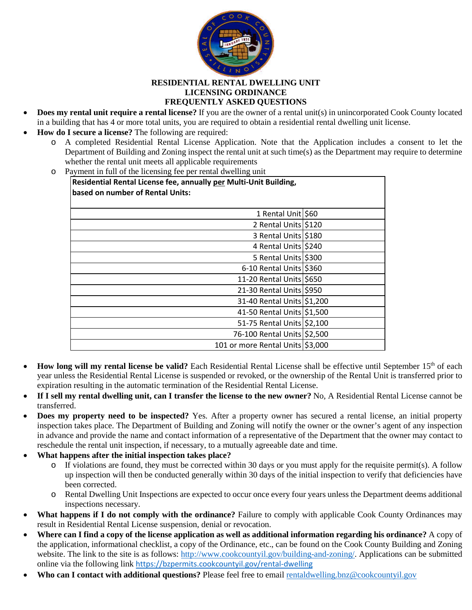

## **RESIDENTIAL RENTAL DWELLING UNIT LICENSING ORDINANCE FREQUENTLY ASKED QUESTIONS**

- **Does my rental unit require a rental license?** If you are the owner of a rental unit(s) in unincorporated Cook County located in a building that has 4 or more total units, you are required to obtain a residential rental dwelling unit license.
- **How do I secure a license?** The following are required:
	- o A completed Residential Rental License Application. Note that the Application includes a consent to let the Department of Building and Zoning inspect the rental unit at such time(s) as the Department may require to determine whether the rental unit meets all applicable requirements
	- o Payment in full of the licensing fee per rental dwelling unit

| Residential Rental License fee, annually per Multi-Unit Building,<br>based on number of Rental Units: |  |
|-------------------------------------------------------------------------------------------------------|--|
| 1 Rental Unit \$60                                                                                    |  |
| 2 Rental Units \$120                                                                                  |  |
| 3 Rental Units \$180                                                                                  |  |
| 4 Rental Units \$240                                                                                  |  |
| 5 Rental Units \$300                                                                                  |  |
| $6-10$ Rental Units \$360                                                                             |  |
| 11-20 Rental Units \$650                                                                              |  |
| 21-30 Rental Units \$950                                                                              |  |
| 31-40 Rental Units \$1,200                                                                            |  |
| 41-50 Rental Units \$1,500                                                                            |  |
| 51-75 Rental Units \$2,100                                                                            |  |
| 76-100 Rental Units \$2,500                                                                           |  |
| 101 or more Rental Units \$3,000                                                                      |  |

- How long will my rental license be valid? Each Residential Rental License shall be effective until September 15<sup>th</sup> of each year unless the Residential Rental License is suspended or revoked, or the ownership of the Rental Unit is transferred prior to expiration resulting in the automatic termination of the Residential Rental License.
- **If I sell my rental dwelling unit, can I transfer the license to the new owner?** No, A Residential Rental License cannot be transferred.
- **Does my property need to be inspected?** Yes. After a property owner has secured a rental license, an initial property inspection takes place. The Department of Building and Zoning will notify the owner or the owner's agent of any inspection in advance and provide the name and contact information of a representative of the Department that the owner may contact to reschedule the rental unit inspection, if necessary, to a mutually agreeable date and time.
- **What happens after the initial inspection takes place?**
	- o If violations are found, they must be corrected within 30 days or you must apply for the requisite permit(s). A follow up inspection will then be conducted generally within 30 days of the initial inspection to verify that deficiencies have been corrected.
	- o Rental Dwelling Unit Inspections are expected to occur once every four years unless the Department deems additional inspections necessary.
- What happens if I do not comply with the ordinance? Failure to comply with applicable Cook County Ordinances may result in Residential Rental License suspension, denial or revocation.
- **Where can I find a copy of the license application as well as additional information regarding his ordinance?** A copy of the application, informational checklist, a copy of the Ordinance, etc., can be found on the Cook County Building and Zoning website. The link to the site is as follows: [http://www.cookcountyil.gov/building-and-zoning/.](http://www.cookcountyil.gov/building-and-zoning/) Applications can be submitted online via the following link <https://bzpermits.cookcountyil.gov/rental-dwelling>
- **Who can I contact with additional questions?** Please feel free to email [rentaldwelling.bnz@cookcountyil.gov](mailto:rentaldwelling.bnz@cookcountyil.gov)